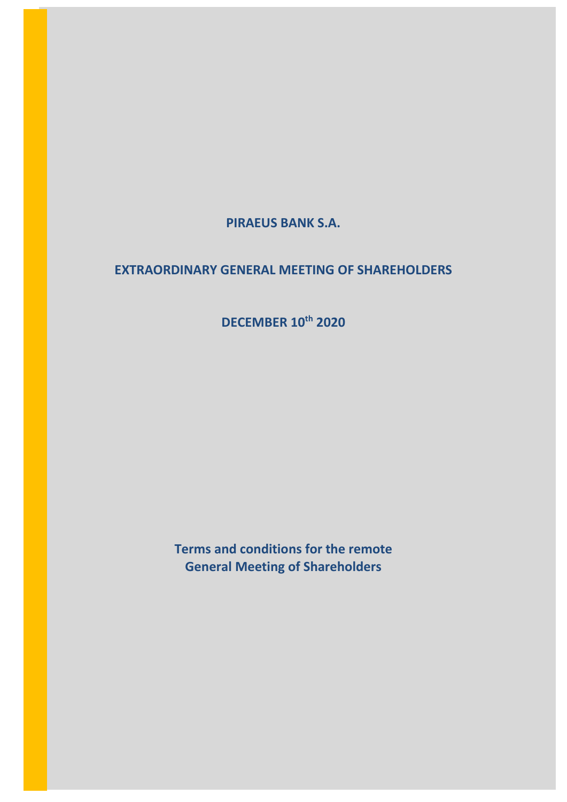**PIRAEUS BANK S.A.**

# **EXTRAORDINARY GENERAL MEETING OF SHAREHOLDERS**

**DECEMBER 10th 2020**

**Terms and conditions for the remote General Meeting of Shareholders**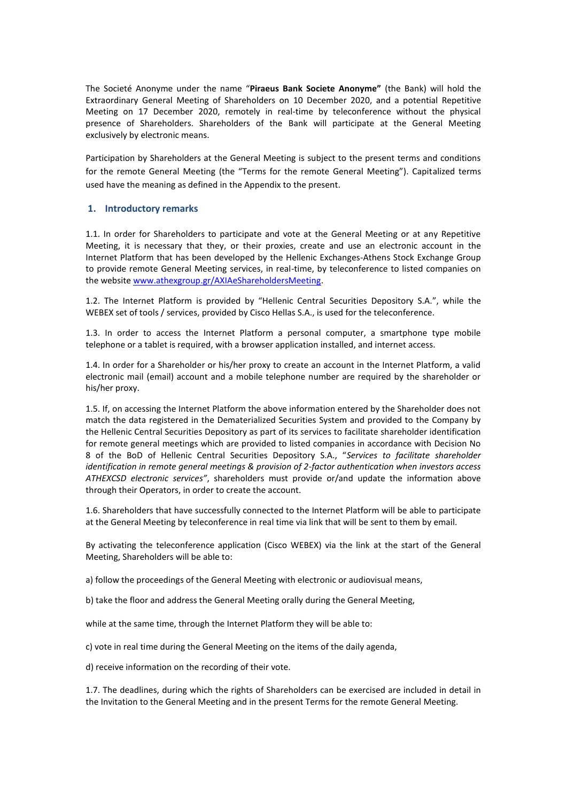The Societé Anonyme under the name "**Piraeus Bank Societe Anonyme"** (the Bank) will hold the Extraordinary General Meeting of Shareholders on 10 December 2020, and a potential Repetitive Meeting on 17 December 2020, remotely in real-time by teleconference without the physical presence of Shareholders. Shareholders of the Bank will participate at the General Meeting exclusively by electronic means.

Participation by Shareholders at the General Meeting is subject to the present terms and conditions for the remote General Meeting (the "Terms for the remote General Meeting"). Capitalized terms used have the meaning as defined in the Appendix to the present.

#### **1. Introductory remarks**

1.1. In order for Shareholders to participate and vote at the General Meeting or at any Repetitive Meeting, it is necessary that they, or their proxies, create and use an electronic account in the Internet Platform that has been developed by the Hellenic Exchanges-Athens Stock Exchange Group to provide remote General Meeting services, in real-time, by teleconference to listed companies on the website [www.athexgroup.gr/AXIAeShareholdersMeeting.](http://www.athexgroup.gr/AXIAeShareholdersMeeting)

1.2. The Internet Platform is provided by "Hellenic Central Securities Depository S.A.", while the WEBEX set of tools / services, provided by Cisco Hellas S.A., is used for the teleconference.

1.3. In order to access the Internet Platform a personal computer, a smartphone type mobile telephone or a tablet is required, with a browser application installed, and internet access.

1.4. In order for a Shareholder or his/her proxy to create an account in the Internet Platform, a valid electronic mail (email) account and a mobile telephone number are required by the shareholder or his/her proxy.

1.5. If, on accessing the Internet Platform the above information entered by the Shareholder does not match the data registered in the Dematerialized Securities System and provided to the Company by the Hellenic Central Securities Depository as part of its services to facilitate shareholder identification for remote general meetings which are provided to listed companies in accordance with Decision No 8 of the BoD of Hellenic Central Securities Depository S.A., "*Services to facilitate shareholder identification in remote general meetings & provision of 2-factor authentication when investors access ATHEXCSD electronic services"*, shareholders must provide or/and update the information above through their Operators, in order to create the account.

1.6. Shareholders that have successfully connected to the Internet Platform will be able to participate at the General Meeting by teleconference in real time via link that will be sent to them by email.

By activating the teleconference application (Cisco WEBEX) via the link at the start of the General Meeting, Shareholders will be able to:

a) follow the proceedings of the General Meeting with electronic or audiovisual means,

b) take the floor and address the General Meeting orally during the General Meeting,

while at the same time, through the Internet Platform they will be able to:

c) vote in real time during the General Meeting on the items of the daily agenda,

d) receive information on the recording of their vote.

1.7. The deadlines, during which the rights of Shareholders can be exercised are included in detail in the Invitation to the General Meeting and in the present Terms for the remote General Meeting.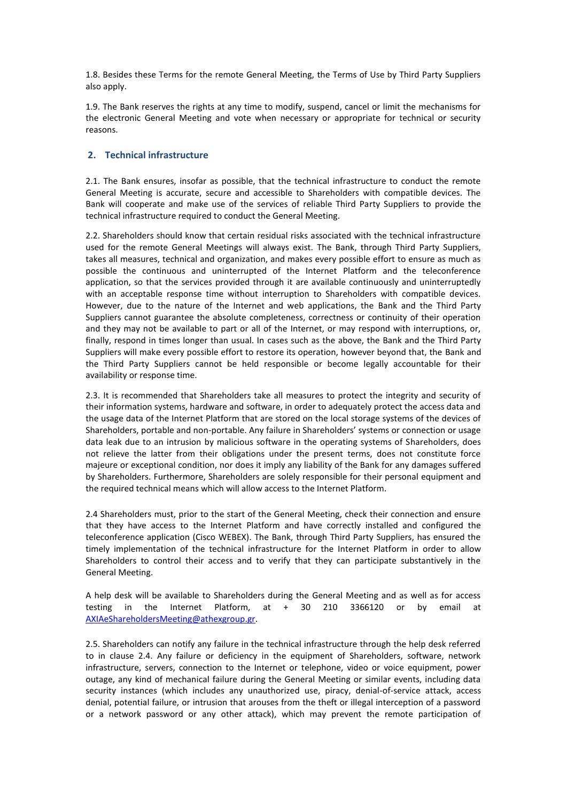1.8. Besides these Terms for the remote General Meeting, the Terms of Use by Third Party Suppliers also apply.

1.9. The Bank reserves the rights at any time to modify, suspend, cancel or limit the mechanisms for the electronic General Meeting and vote when necessary or appropriate for technical or security reasons.

## **2. Technical infrastructure**

2.1. The Bank ensures, insofar as possible, that the technical infrastructure to conduct the remote General Meeting is accurate, secure and accessible to Shareholders with compatible devices. The Bank will cooperate and make use of the services of reliable Third Party Suppliers to provide the technical infrastructure required to conduct the General Meeting.

2.2. Shareholders should know that certain residual risks associated with the technical infrastructure used for the remote General Meetings will always exist. The Bank, through Third Party Suppliers, takes all measures, technical and organization, and makes every possible effort to ensure as much as possible the continuous and uninterrupted of the Internet Platform and the teleconference application, so that the services provided through it are available continuously and uninterruptedly with an acceptable response time without interruption to Shareholders with compatible devices. However, due to the nature of the Internet and web applications, the Bank and the Third Party Suppliers cannot guarantee the absolute completeness, correctness or continuity of their operation and they may not be available to part or all of the Internet, or may respond with interruptions, or, finally, respond in times longer than usual. In cases such as the above, the Bank and the Third Party Suppliers will make every possible effort to restore its operation, however beyond that, the Bank and the Third Party Suppliers cannot be held responsible or become legally accountable for their availability or response time.

2.3. It is recommended that Shareholders take all measures to protect the integrity and security of their information systems, hardware and software, in order to adequately protect the access data and the usage data of the Internet Platform that are stored on the local storage systems of the devices of Shareholders, portable and non-portable. Any failure in Shareholders' systems or connection or usage data leak due to an intrusion by malicious software in the operating systems of Shareholders, does not relieve the latter from their obligations under the present terms, does not constitute force majeure or exceptional condition, nor does it imply any liability of the Bank for any damages suffered by Shareholders. Furthermore, Shareholders are solely responsible for their personal equipment and the required technical means which will allow access to the Internet Platform.

2.4 Shareholders must, prior to the start of the General Meeting, check their connection and ensure that they have access to the Internet Platform and have correctly installed and configured the teleconference application (Cisco WEBEX). The Bank, through Third Party Suppliers, has ensured the timely implementation of the technical infrastructure for the Internet Platform in order to allow Shareholders to control their access and to verify that they can participate substantively in the General Meeting.

A help desk will be available to Shareholders during the General Meeting and as well as for access testing in the Internet Platform, at + 30 210 3366120 or by email at [AXIAeShareholdersMeeting@athexgroup.gr.](mailto:AXIAeShareholdersMeeting@athexgroup.gr)

2.5. Shareholders can notify any failure in the technical infrastructure through the help desk referred to in clause 2.4. Any failure or deficiency in the equipment of Shareholders, software, network infrastructure, servers, connection to the Internet or telephone, video or voice equipment, power outage, any kind of mechanical failure during the General Meeting or similar events, including data security instances (which includes any unauthorized use, piracy, denial-of-service attack, access denial, potential failure, or intrusion that arouses from the theft or illegal interception of a password or a network password or any other attack), which may prevent the remote participation of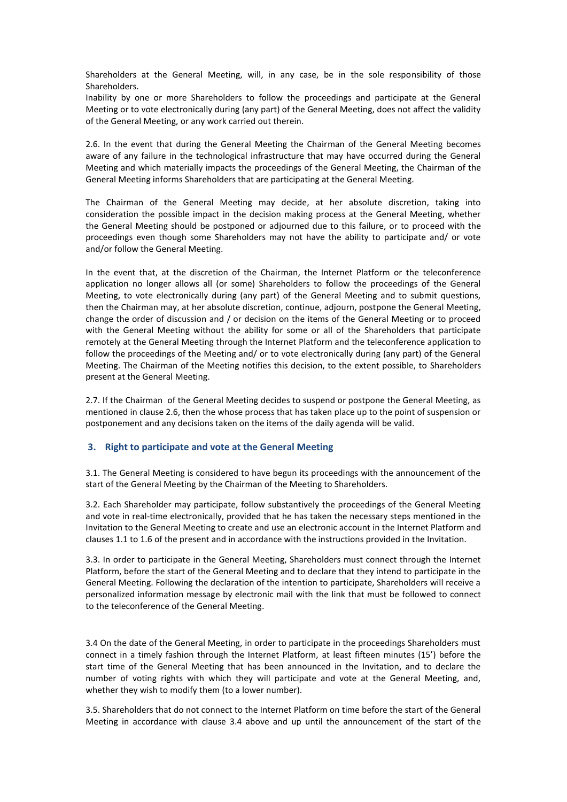Shareholders at the General Meeting, will, in any case, be in the sole responsibility of those Shareholders.

Inability by one or more Shareholders to follow the proceedings and participate at the General Meeting or to vote electronically during (any part) of the General Meeting, does not affect the validity of the General Meeting, or any work carried out therein.

2.6. In the event that during the General Meeting the Chairman of the General Meeting becomes aware of any failure in the technological infrastructure that may have occurred during the General Meeting and which materially impacts the proceedings of the General Meeting, the Chairman of the General Meeting informs Shareholders that are participating at the General Meeting.

The Chairman of the General Meeting may decide, at her absolute discretion, taking into consideration the possible impact in the decision making process at the General Meeting, whether the General Meeting should be postponed or adjourned due to this failure, or to proceed with the proceedings even though some Shareholders may not have the ability to participate and/ or vote and/or follow the General Meeting.

In the event that, at the discretion of the Chairman, the Internet Platform or the teleconference application no longer allows all (or some) Shareholders to follow the proceedings of the General Meeting, to vote electronically during (any part) of the General Meeting and to submit questions, then the Chairman may, at her absolute discretion, continue, adjourn, postpone the General Meeting, change the order of discussion and / or decision on the items of the General Meeting or to proceed with the General Meeting without the ability for some or all of the Shareholders that participate remotely at the General Meeting through the Internet Platform and the teleconference application to follow the proceedings of the Meeting and/ or to vote electronically during (any part) of the General Meeting. The Chairman of the Meeting notifies this decision, to the extent possible, to Shareholders present at the General Meeting.

2.7. If the Chairman of the General Meeting decides to suspend or postpone the General Meeting, as mentioned in clause 2.6, then the whose process that has taken place up to the point of suspension or postponement and any decisions taken on the items of the daily agenda will be valid.

#### **3. Right to participate and vote at the General Meeting**

3.1. The General Meeting is considered to have begun its proceedings with the announcement of the start of the General Meeting by the Chairman of the Meeting to Shareholders.

3.2. Each Shareholder may participate, follow substantively the proceedings of the General Meeting and vote in real-time electronically, provided that he has taken the necessary steps mentioned in the Invitation to the General Meeting to create and use an electronic account in the Internet Platform and clauses 1.1 to 1.6 of the present and in accordance with the instructions provided in the Invitation.

3.3. In order to participate in the General Meeting, Shareholders must connect through the Internet Platform, before the start of the General Meeting and to declare that they intend to participate in the General Meeting. Following the declaration of the intention to participate, Shareholders will receive a personalized information message by electronic mail with the link that must be followed to connect to the teleconference of the General Meeting.

3.4 On the date of the General Meeting, in order to participate in the proceedings Shareholders must connect in a timely fashion through the Internet Platform, at least fifteen minutes (15') before the start time of the General Meeting that has been announced in the Invitation, and to declare the number of voting rights with which they will participate and vote at the General Meeting, and, whether they wish to modify them (to a lower number).

3.5. Shareholders that do not connect to the Internet Platform on time before the start of the General Meeting in accordance with clause 3.4 above and up until the announcement of the start of the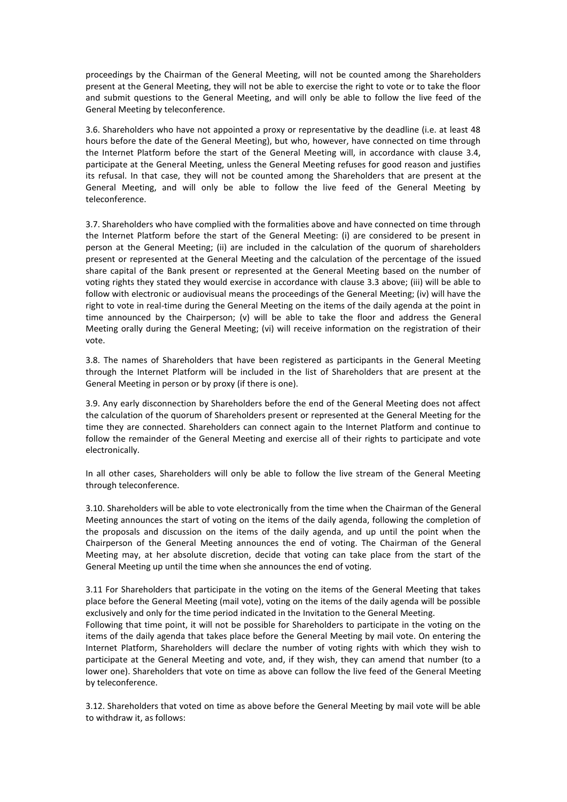proceedings by the Chairman of the General Meeting, will not be counted among the Shareholders present at the General Meeting, they will not be able to exercise the right to vote or to take the floor and submit questions to the General Meeting, and will only be able to follow the live feed of the General Meeting by teleconference.

3.6. Shareholders who have not appointed a proxy or representative by the deadline (i.e. at least 48 hours before the date of the General Meeting), but who, however, have connected on time through the Internet Platform before the start of the General Meeting will, in accordance with clause 3.4, participate at the General Meeting, unless the General Meeting refuses for good reason and justifies its refusal. In that case, they will not be counted among the Shareholders that are present at the General Meeting, and will only be able to follow the live feed of the General Meeting by teleconference.

3.7. Shareholders who have complied with the formalities above and have connected on time through the Internet Platform before the start of the General Meeting: (i) are considered to be present in person at the General Meeting; (ii) are included in the calculation of the quorum of shareholders present or represented at the General Meeting and the calculation of the percentage of the issued share capital of the Bank present or represented at the General Meeting based on the number of voting rights they stated they would exercise in accordance with clause 3.3 above; (iii) will be able to follow with electronic or audiovisual means the proceedings of the General Meeting; (iv) will have the right to vote in real-time during the General Meeting on the items of the daily agenda at the point in time announced by the Chairperson; (v) will be able to take the floor and address the General Meeting orally during the General Meeting; (vi) will receive information on the registration of their vote.

3.8. The names of Shareholders that have been registered as participants in the General Meeting through the Internet Platform will be included in the list of Shareholders that are present at the General Meeting in person or by proxy (if there is one).

3.9. Any early disconnection by Shareholders before the end of the General Meeting does not affect the calculation of the quorum of Shareholders present or represented at the General Meeting for the time they are connected. Shareholders can connect again to the Internet Platform and continue to follow the remainder of the General Meeting and exercise all of their rights to participate and vote electronically.

In all other cases, Shareholders will only be able to follow the live stream of the General Meeting through teleconference.

3.10. Shareholders will be able to vote electronically from the time when the Chairman of the General Meeting announces the start of voting on the items of the daily agenda, following the completion of the proposals and discussion on the items of the daily agenda, and up until the point when the Chairperson of the General Meeting announces the end of voting. The Chairman of the General Meeting may, at her absolute discretion, decide that voting can take place from the start of the General Meeting up until the time when she announces the end of voting.

3.11 For Shareholders that participate in the voting on the items of the General Meeting that takes place before the General Meeting (mail vote), voting on the items of the daily agenda will be possible exclusively and only for the time period indicated in the Invitation to the General Meeting.

Following that time point, it will not be possible for Shareholders to participate in the voting on the items of the daily agenda that takes place before the General Meeting by mail vote. On entering the Internet Platform, Shareholders will declare the number of voting rights with which they wish to participate at the General Meeting and vote, and, if they wish, they can amend that number (to a lower one). Shareholders that vote on time as above can follow the live feed of the General Meeting by teleconference.

3.12. Shareholders that voted on time as above before the General Meeting by mail vote will be able to withdraw it, as follows: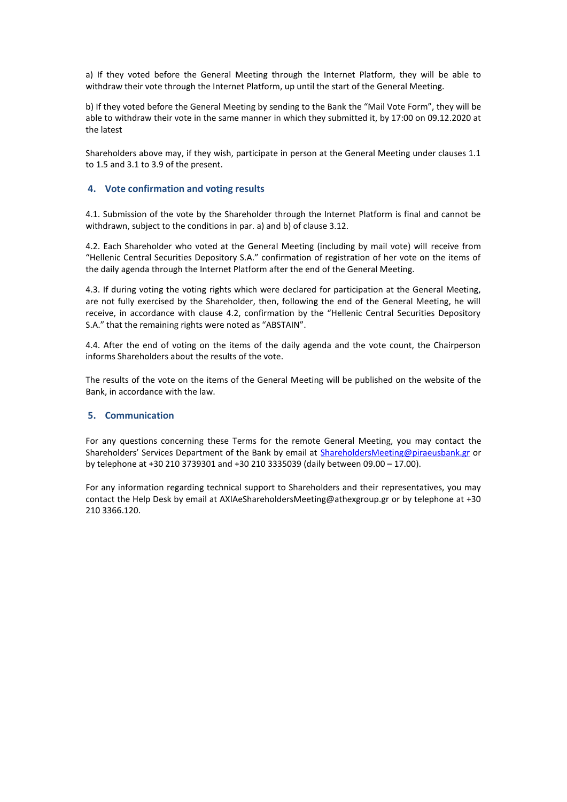a) If they voted before the General Meeting through the Internet Platform, they will be able to withdraw their vote through the Internet Platform, up until the start of the General Meeting.

b) If they voted before the General Meeting by sending to the Bank the "Mail Vote Form", they will be able to withdraw their vote in the same manner in which they submitted it, by 17:00 on 09.12.2020 at the latest

Shareholders above may, if they wish, participate in person at the General Meeting under clauses 1.1 to 1.5 and 3.1 to 3.9 of the present.

### **4. Vote confirmation and voting results**

4.1. Submission of the vote by the Shareholder through the Internet Platform is final and cannot be withdrawn, subject to the conditions in par. a) and b) of clause 3.12.

4.2. Each Shareholder who voted at the General Meeting (including by mail vote) will receive from "Hellenic Central Securities Depository S.A." confirmation of registration of her vote on the items of the daily agenda through the Internet Platform after the end of the General Meeting.

4.3. If during voting the voting rights which were declared for participation at the General Meeting, are not fully exercised by the Shareholder, then, following the end of the General Meeting, he will receive, in accordance with clause 4.2, confirmation by the "Hellenic Central Securities Depository S.A." that the remaining rights were noted as "ABSTAIN".

4.4. After the end of voting on the items of the daily agenda and the vote count, the Chairperson informs Shareholders about the results of the vote.

The results of the vote on the items of the General Meeting will be published on the website of the Bank, in accordance with the law.

#### **5. Communication**

For any questions concerning these Terms for the remote General Meeting, you may contact the Shareholders' Services Department of the Bank by email at [ShareholdersMeeting@piraeusbank.gr](mailto:sharesdept@piraeusbank.gr) or by telephone at +30 210 3739301 and +30 210 3335039 (daily between 09.00 – 17.00).

For any information regarding technical support to Shareholders and their representatives, you may contact the Help Desk by email at AXIAeShareholdersMeeting@athexgroup.gr or by telephone at +30 210 3366.120.